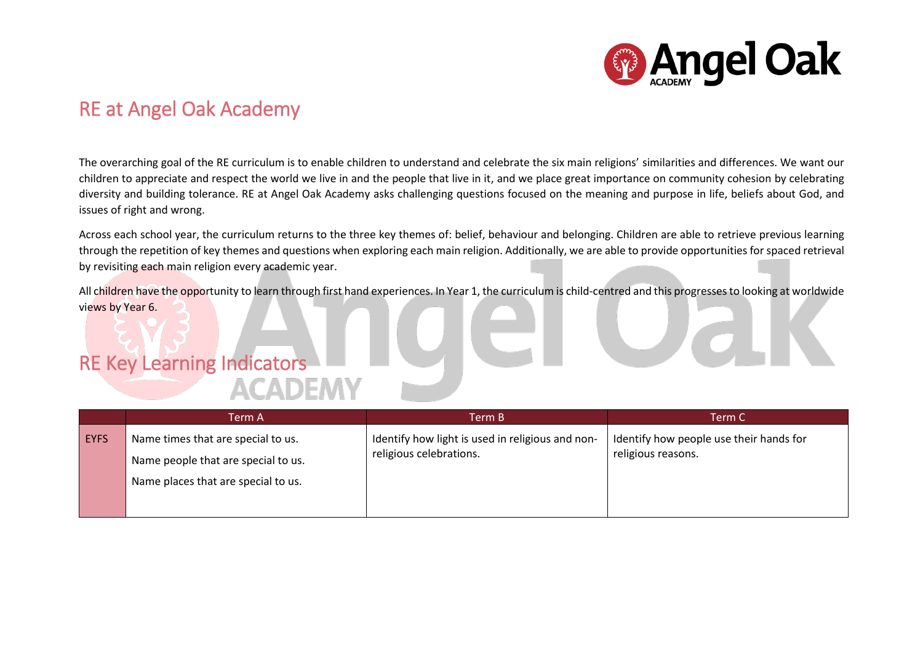

## RE at Angel Oak Academy

The overarching goal of the RE curriculum is to enable children to understand and celebrate the six main religions' similarities and differences. We want our children to appreciate and respect the world we live in and the people that live in it, and we place great importance on community cohesion by celebrating diversity and building tolerance. RE at Angel Oak Academy asks challenging questions focused on the meaning and purpose in life, beliefs about God, and issues of right and wrong.

Across each school year, the curriculum returns to the three key themes of: belief, behaviour and belonging. Children are able to retrieve previous learning through the repetition of key themes and questions when exploring each main religion. Additionally, we are able to provide opportunities for spaced retrieval by revisiting each main religion every academic year.

All children have the opportunity to learn through first hand experiences. In Year 1, the curriculum is child-centred and this progresses to looking at worldwide views by Year 6.

## RE Key Learning Indicators **ACADEMY**

|             | Term A                              | Term B                                           | Term C                                  |
|-------------|-------------------------------------|--------------------------------------------------|-----------------------------------------|
| <b>EYFS</b> | Name times that are special to us.  | Identify how light is used in religious and non- | Identify how people use their hands for |
|             | Name people that are special to us. | religious celebrations.                          | religious reasons.                      |
|             | Name places that are special to us. |                                                  |                                         |
|             |                                     |                                                  |                                         |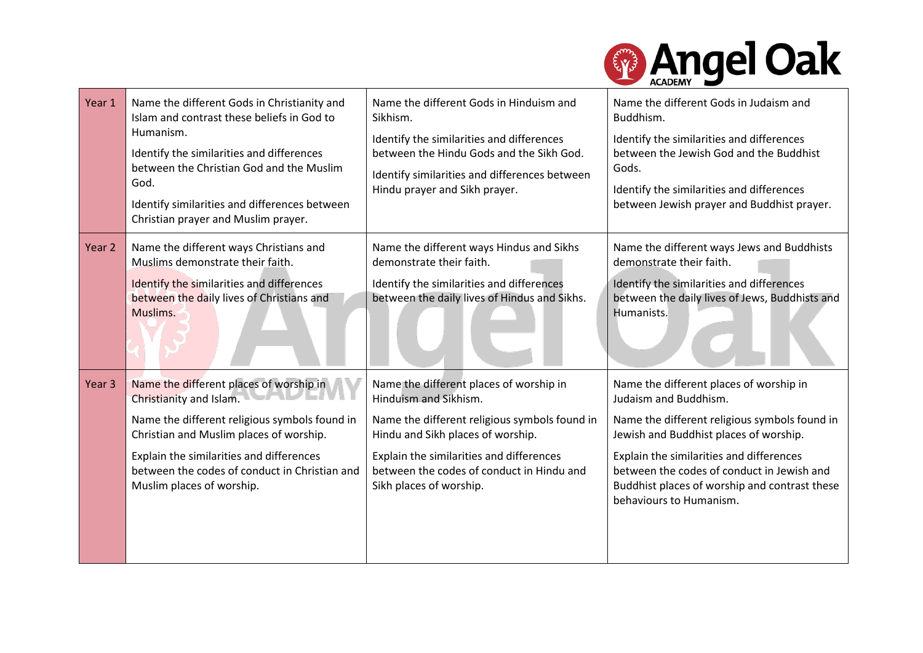

| Year 1            | Name the different Gods in Christianity and<br>Islam and contrast these beliefs in God to<br>Humanism.<br>Identify the similarities and differences<br>between the Christian God and the Muslim<br>God.<br>Identify similarities and differences between<br>Christian prayer and Muslim prayer. | Name the different Gods in Hinduism and<br>Sikhism.<br>Identify the similarities and differences<br>between the Hindu Gods and the Sikh God.<br>Identify similarities and differences between<br>Hindu prayer and Sikh prayer.                                             | Name the different Gods in Judaism and<br>Buddhism.<br>Identify the similarities and differences<br>between the Jewish God and the Buddhist<br>Gods.<br>Identify the similarities and differences<br>between Jewish prayer and Buddhist prayer.                                                                                   |
|-------------------|-------------------------------------------------------------------------------------------------------------------------------------------------------------------------------------------------------------------------------------------------------------------------------------------------|----------------------------------------------------------------------------------------------------------------------------------------------------------------------------------------------------------------------------------------------------------------------------|-----------------------------------------------------------------------------------------------------------------------------------------------------------------------------------------------------------------------------------------------------------------------------------------------------------------------------------|
| Year 2            | Name the different ways Christians and<br>Muslims demonstrate their faith.<br>Identify the similarities and differences<br>between the daily lives of Christians and<br>Muslims.                                                                                                                | Name the different ways Hindus and Sikhs<br>demonstrate their faith.<br>Identify the similarities and differences<br>between the daily lives of Hindus and Sikhs.                                                                                                          | Name the different ways Jews and Buddhists<br>demonstrate their faith.<br>Identify the similarities and differences<br>between the daily lives of Jews, Buddhists and<br>Humanists.                                                                                                                                               |
| Year <sub>3</sub> | Name the different places of worship in<br>Christianity and Islam.<br>Name the different religious symbols found in<br>Christian and Muslim places of worship.<br>Explain the similarities and differences<br>between the codes of conduct in Christian and<br>Muslim places of worship.        | Name the different places of worship in<br>Hinduism and Sikhism.<br>Name the different religious symbols found in<br>Hindu and Sikh places of worship.<br>Explain the similarities and differences<br>between the codes of conduct in Hindu and<br>Sikh places of worship. | Name the different places of worship in<br>Judaism and Buddhism.<br>Name the different religious symbols found in<br>Jewish and Buddhist places of worship.<br>Explain the similarities and differences<br>between the codes of conduct in Jewish and<br>Buddhist places of worship and contrast these<br>behaviours to Humanism. |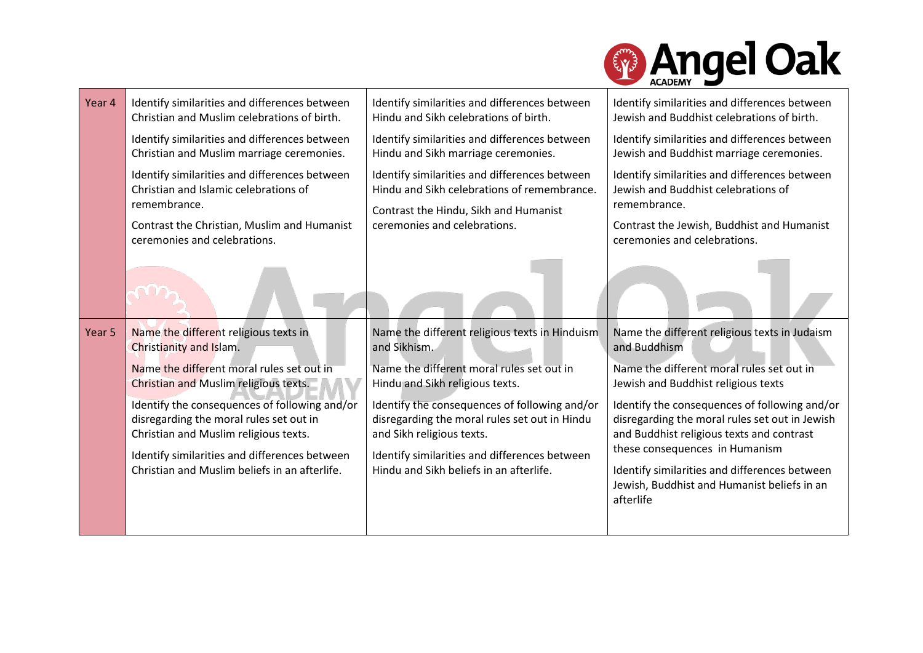

| Year 4 | Identify similarities and differences between                                                                                                                                         | Identify similarities and differences between                                                                                                                         | Identify similarities and differences between                                                                                                                                      |
|--------|---------------------------------------------------------------------------------------------------------------------------------------------------------------------------------------|-----------------------------------------------------------------------------------------------------------------------------------------------------------------------|------------------------------------------------------------------------------------------------------------------------------------------------------------------------------------|
|        | Christian and Muslim celebrations of birth.                                                                                                                                           | Hindu and Sikh celebrations of birth.                                                                                                                                 | Jewish and Buddhist celebrations of birth.                                                                                                                                         |
|        | Identify similarities and differences between                                                                                                                                         | Identify similarities and differences between                                                                                                                         | Identify similarities and differences between                                                                                                                                      |
|        | Christian and Muslim marriage ceremonies.                                                                                                                                             | Hindu and Sikh marriage ceremonies.                                                                                                                                   | Jewish and Buddhist marriage ceremonies.                                                                                                                                           |
|        | Identify similarities and differences between<br>Christian and Islamic celebrations of<br>remembrance.<br>Contrast the Christian, Muslim and Humanist<br>ceremonies and celebrations. | Identify similarities and differences between<br>Hindu and Sikh celebrations of remembrance.<br>Contrast the Hindu, Sikh and Humanist<br>ceremonies and celebrations. | Identify similarities and differences between<br>Jewish and Buddhist celebrations of<br>remembrance.<br>Contrast the Jewish, Buddhist and Humanist<br>ceremonies and celebrations. |
|        |                                                                                                                                                                                       |                                                                                                                                                                       |                                                                                                                                                                                    |
| Year 5 | Name the different religious texts in                                                                                                                                                 | Name the different religious texts in Hinduism                                                                                                                        | Name the different religious texts in Judaism                                                                                                                                      |
|        | Christianity and Islam.                                                                                                                                                               | and Sikhism.                                                                                                                                                          | and Buddhism                                                                                                                                                                       |
|        | Name the different moral rules set out in                                                                                                                                             | Name the different moral rules set out in                                                                                                                             | Name the different moral rules set out in                                                                                                                                          |
|        | Christian and Muslim religious texts.                                                                                                                                                 | Hindu and Sikh religious texts.                                                                                                                                       | Jewish and Buddhist religious texts                                                                                                                                                |
|        | Identify the consequences of following and/or                                                                                                                                         | Identify the consequences of following and/or                                                                                                                         | Identify the consequences of following and/or                                                                                                                                      |
|        | disregarding the moral rules set out in                                                                                                                                               | disregarding the moral rules set out in Hindu                                                                                                                         | disregarding the moral rules set out in Jewish                                                                                                                                     |
|        | Christian and Muslim religious texts.                                                                                                                                                 | and Sikh religious texts.                                                                                                                                             | and Buddhist religious texts and contrast                                                                                                                                          |
|        | Identify similarities and differences between<br>Christian and Muslim beliefs in an afterlife.                                                                                        | Identify similarities and differences between<br>Hindu and Sikh beliefs in an afterlife.                                                                              | these consequences in Humanism<br>Identify similarities and differences between<br>Jewish, Buddhist and Humanist beliefs in an<br>afterlife                                        |